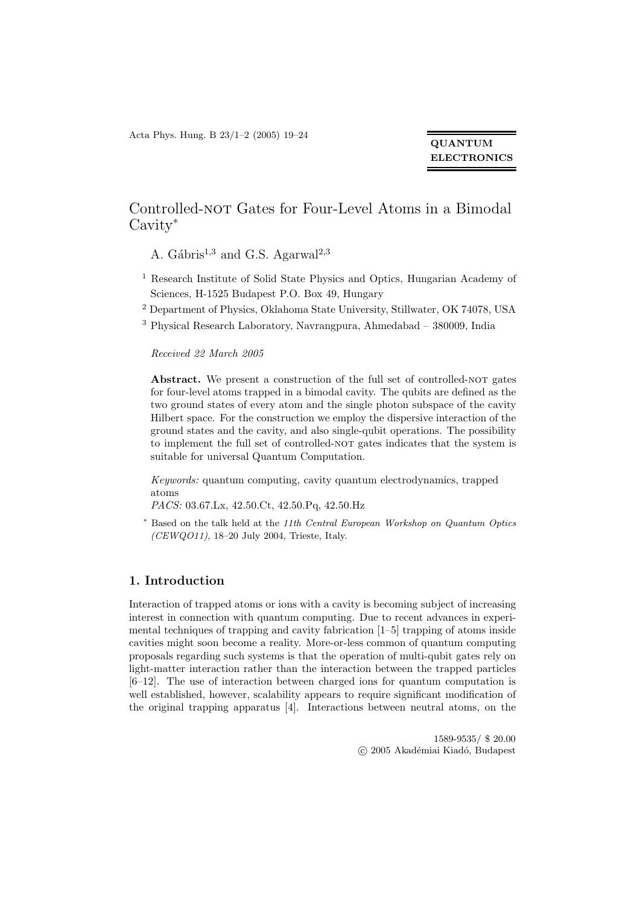Acta Phys. Hung. B 23/1–2 (2005) 19–24

## QUANTUM **ELECTRONICS**

# Controlled-not Gates for Four-Level Atoms in a Bimodal Cavity<sup>∗</sup>

A. Gábris<sup>1,3</sup> and G.S. Agarwal<sup>2,3</sup>

- <sup>1</sup> Research Institute of Solid State Physics and Optics, Hungarian Academy of Sciences, H-1525 Budapest P.O. Box 49, Hungary
- <sup>2</sup> Department of Physics, Oklahoma State University, Stillwater, OK 74078, USA
- <sup>3</sup> Physical Research Laboratory, Navrangpura, Ahmedabad 380009, India

#### Received 22 March 2005

Abstract. We present a construction of the full set of controlled-nor gates for four-level atoms trapped in a bimodal cavity. The qubits are defined as the two ground states of every atom and the single photon subspace of the cavity Hilbert space. For the construction we employ the dispersive interaction of the ground states and the cavity, and also single-qubit operations. The possibility to implement the full set of controlled-NOT gates indicates that the system is suitable for universal Quantum Computation.

Keywords: quantum computing, cavity quantum electrodynamics, trapped atoms

PACS: 03.67.Lx, 42.50.Ct, 42.50.Pq, 42.50.Hz

<sup>∗</sup> Based on the talk held at the 11th Central European Workshop on Quantum Optics (CEWQO11), 18–20 July 2004, Trieste, Italy.

### 1. Introduction

Interaction of trapped atoms or ions with a cavity is becoming subject of increasing interest in connection with quantum computing. Due to recent advances in experimental techniques of trapping and cavity fabrication [1–5] trapping of atoms inside cavities might soon become a reality. More-or-less common of quantum computing proposals regarding such systems is that the operation of multi-qubit gates rely on light-matter interaction rather than the interaction between the trapped particles [6–12]. The use of interaction between charged ions for quantum computation is well established, however, scalability appears to require significant modification of the original trapping apparatus [4]. Interactions between neutral atoms, on the

> 1589-9535/ \$ 20.00  $\odot$  2005 Akadémiai Kiadó, Budapest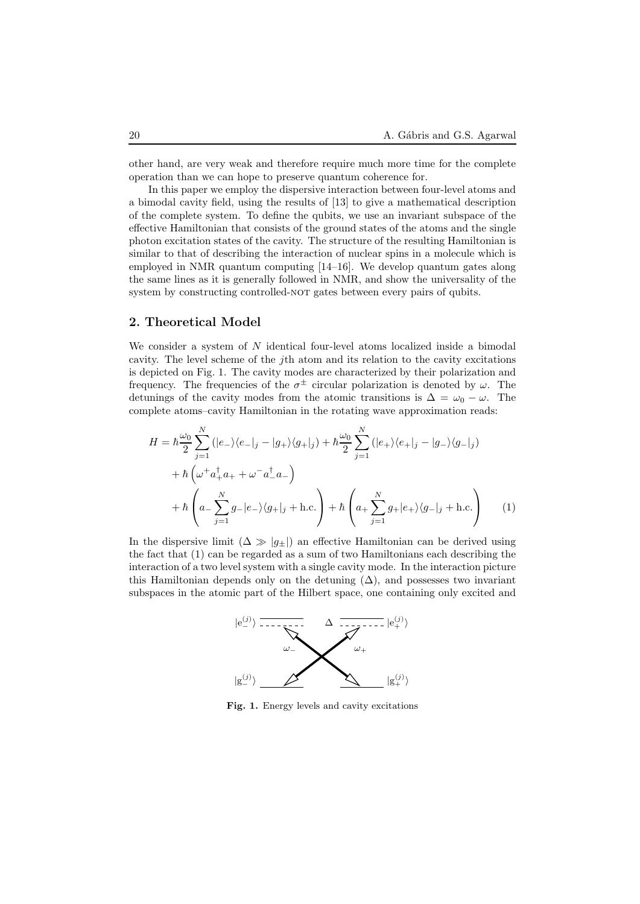other hand, are very weak and therefore require much more time for the complete operation than we can hope to preserve quantum coherence for.

In this paper we employ the dispersive interaction between four-level atoms and a bimodal cavity field, using the results of [13] to give a mathematical description of the complete system. To define the qubits, we use an invariant subspace of the effective Hamiltonian that consists of the ground states of the atoms and the single photon excitation states of the cavity. The structure of the resulting Hamiltonian is similar to that of describing the interaction of nuclear spins in a molecule which is employed in NMR quantum computing [14–16]. We develop quantum gates along the same lines as it is generally followed in NMR, and show the universality of the system by constructing controlled-NOT gates between every pairs of qubits.

## 2. Theoretical Model

We consider a system of  $N$  identical four-level atoms localized inside a bimodal cavity. The level scheme of the jth atom and its relation to the cavity excitations is depicted on Fig. 1. The cavity modes are characterized by their polarization and frequency. The frequencies of the  $\sigma^{\pm}$  circular polarization is denoted by  $\omega$ . The detunings of the cavity modes from the atomic transitions is  $\Delta = \omega_0 - \omega$ . The complete atoms–cavity Hamiltonian in the rotating wave approximation reads:

$$
H = \hbar \frac{\omega_0}{2} \sum_{j=1}^{N} (|e_{-}\rangle\langle e_{-}|_{j} - |g_{+}\rangle\langle g_{+}|_{j}) + \hbar \frac{\omega_0}{2} \sum_{j=1}^{N} (|e_{+}\rangle\langle e_{+}|_{j} - |g_{-}\rangle\langle g_{-}|_{j})
$$
  
+ 
$$
\hbar \left(\omega^{+} a_{+}^{\dagger} a_{+} + \omega^{-} a_{-}^{\dagger} a_{-}\right)
$$
  
+ 
$$
\hbar \left(a_{-} \sum_{j=1}^{N} g_{-}|e_{-}\rangle\langle g_{+}|_{j} + \text{h.c.}\right) + \hbar \left(a_{+} \sum_{j=1}^{N} g_{+}|e_{+}\rangle\langle g_{-}|_{j} + \text{h.c.}\right)
$$
 (1)

In the dispersive limit  $(\Delta \gg |g_{\pm}|)$  an effective Hamiltonian can be derived using the fact that (1) can be regarded as a sum of two Hamiltonians each describing the interaction of a two level system with a single cavity mode. In the interaction picture this Hamiltonian depends only on the detuning  $(\Delta)$ , and possesses two invariant subspaces in the atomic part of the Hilbert space, one containing only excited and



Fig. 1. Energy levels and cavity excitations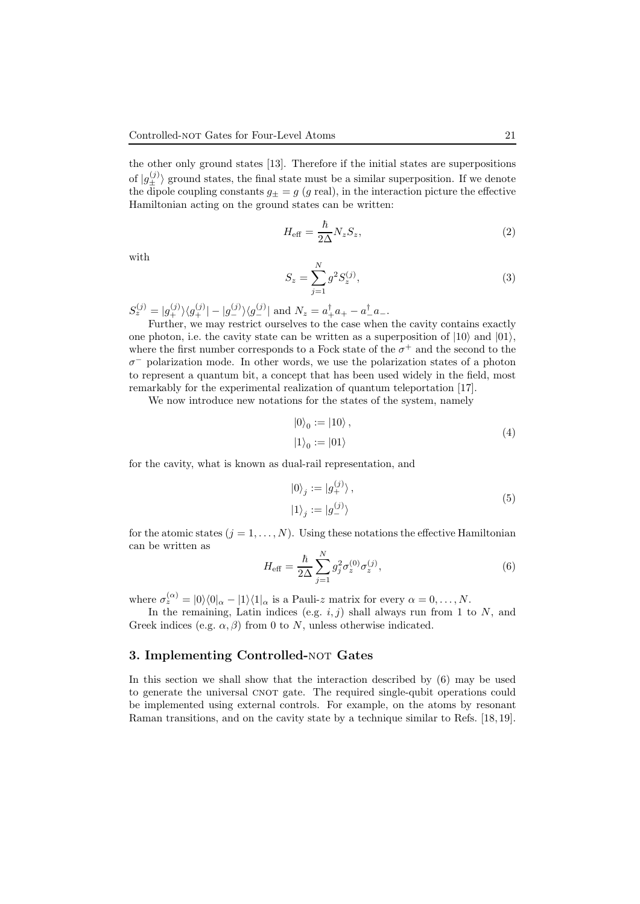the other only ground states [13]. Therefore if the initial states are superpositions of  $|g_{\pm}^{(j)}\rangle$  ground states, the final state must be a similar superposition. If we denote the dipole coupling constants  $g_{\pm} = g$  (g real), in the interaction picture the effective Hamiltonian acting on the ground states can be written:

$$
H_{\text{eff}} = \frac{\hbar}{2\Delta} N_z S_z,\tag{2}
$$

with

$$
S_z = \sum_{j=1}^{N} g^2 S_z^{(j)},
$$
\n(3)

 $S_z^{(j)} = |g_+^{(j)}\rangle \langle g_+^{(j)}| - |g_-^{(j)}\rangle \langle g_-^{(j)}|$  and  $N_z = a_+^{\dagger}a_+ - a_-^{\dagger}a_-$ .

Further, we may restrict ourselves to the case when the cavity contains exactly one photon, i.e. the cavity state can be written as a superposition of  $|10\rangle$  and  $|01\rangle$ , where the first number corresponds to a Fock state of the  $\sigma^+$  and the second to the  $\sigma^-$  polarization mode. In other words, we use the polarization states of a photon to represent a quantum bit, a concept that has been used widely in the field, most remarkably for the experimental realization of quantum teleportation [17].

We now introduce new notations for the states of the system, namely

$$
|0\rangle_0 := |10\rangle ,
$$
  

$$
|1\rangle_0 := |01\rangle
$$
 (4)

for the cavity, what is known as dual-rail representation, and

$$
\begin{aligned} \left|0\right\rangle_j &:= \left|g_+^{(j)}\right\rangle, \\ \left|1\right\rangle_j &:= \left|g_-^{(j)}\right\rangle \end{aligned} \tag{5}
$$

for the atomic states  $(j = 1, ..., N)$ . Using these notations the effective Hamiltonian can be written as

$$
H_{\text{eff}} = \frac{\hbar}{2\Delta} \sum_{j=1}^{N} g_j^2 \sigma_z^{(0)} \sigma_z^{(j)},
$$
\n(6)

where  $\sigma_z^{(\alpha)} = |0\rangle\langle0|_{\alpha} - |1\rangle\langle1|_{\alpha}$  is a Pauli-z matrix for every  $\alpha = 0, \ldots, N$ .

In the remaining, Latin indices (e.g.  $i, j$ ) shall always run from 1 to N, and Greek indices (e.g.  $\alpha$ ,  $\beta$ ) from 0 to N, unless otherwise indicated.

#### 3. Implementing Controlled-NOT Gates

In this section we shall show that the interaction described by (6) may be used to generate the universal CNOT gate. The required single-qubit operations could be implemented using external controls. For example, on the atoms by resonant Raman transitions, and on the cavity state by a technique similar to Refs. [18, 19].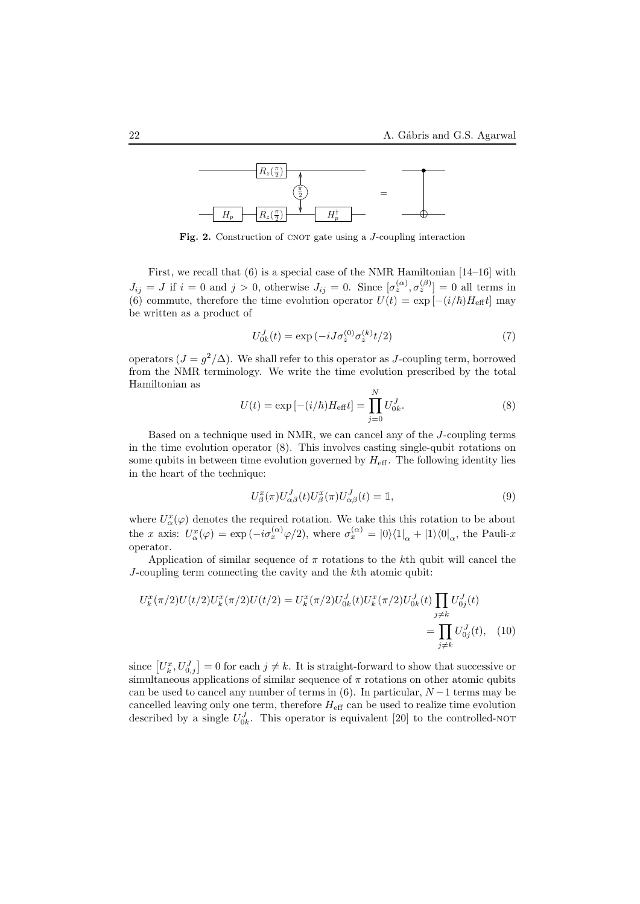

Fig. 2. Construction of CNOT gate using a *J*-coupling interaction

First, we recall that (6) is a special case of the NMR Hamiltonian [14–16] with  $J_{ij} = J$  if  $i = 0$  and  $j > 0$ , otherwise  $J_{ij} = 0$ . Since  $[\sigma_z^{(\alpha)}, \sigma_z^{(\beta)}] = 0$  all terms in (6) commute, therefore the time evolution operator  $U(t) = \exp[-(i/\hbar)H_{\text{eff}}t]$  may be written as a product of

$$
U_{0k}^{J}(t) = \exp(-iJ\sigma_z^{(0)}\sigma_z^{(k)}t/2)
$$
\n(7)

operators  $(J = g^2/\Delta)$ . We shall refer to this operator as J-coupling term, borrowed from the NMR terminology. We write the time evolution prescribed by the total Hamiltonian as

$$
U(t) = \exp[-(i/\hbar)H_{\text{eff}}t] = \prod_{j=0}^{N} U_{0k}^{J}.
$$
 (8)

Based on a technique used in NMR, we can cancel any of the J-coupling terms in the time evolution operator (8). This involves casting single-qubit rotations on some qubits in between time evolution governed by  $H_{\text{eff}}$ . The following identity lies in the heart of the technique:

$$
U_{\beta}^{x}(\pi)U_{\alpha\beta}^{J}(t)U_{\beta}^{x}(\pi)U_{\alpha\beta}^{J}(t) = \mathbb{1},\tag{9}
$$

where  $U^x_\alpha(\varphi)$  denotes the required rotation. We take this this rotation to be about the x axis:  $U^x_\alpha(\varphi) = \exp(-i\sigma_x^{(\alpha)}\varphi/2)$ , where  $\sigma_x^{(\alpha)} = |0\rangle\langle 1|_\alpha + |1\rangle\langle 0|_\alpha$ , the Pauli-x operator.

Application of similar sequence of  $\pi$  rotations to the kth qubit will cancel the J-coupling term connecting the cavity and the kth atomic qubit:

$$
U_k^x(\pi/2)U(t/2)U_k^x(\pi/2)U(t/2) = U_k^x(\pi/2)U_{0k}^J(t)U_k^x(\pi/2)U_{0k}^J(t)\prod_{j\neq k} U_{0j}^J(t)
$$
  
= 
$$
\prod_{j\neq k} U_{0j}^J(t), \quad (10)
$$

since  $[U_k^x, U_{0,j}^J] = 0$  for each  $j \neq k$ . It is straight-forward to show that successive or simultaneous applications of similar sequence of  $\pi$  rotations on other atomic qubits can be used to cancel any number of terms in (6). In particular,  $N-1$  terms may be cancelled leaving only one term, therefore  $H_{\text{eff}}$  can be used to realize time evolution described by a single  $U_{0k}^J$ . This operator is equivalent [20] to the controlled-not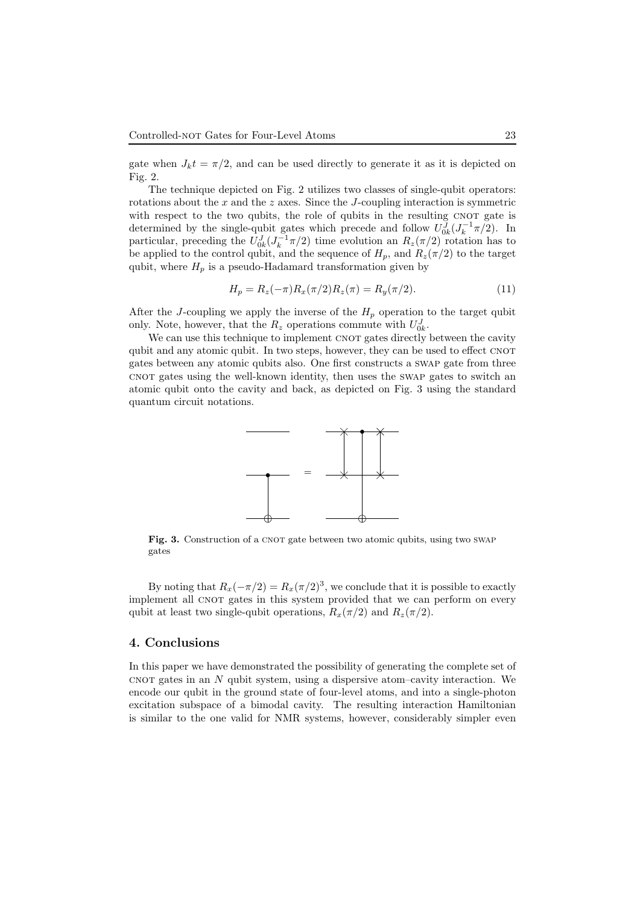gate when  $J_k t = \pi/2$ , and can be used directly to generate it as it is depicted on Fig. 2.

The technique depicted on Fig. 2 utilizes two classes of single-qubit operators: rotations about the  $x$  and the  $z$  axes. Since the  $J$ -coupling interaction is symmetric with respect to the two qubits, the role of qubits in the resulting CNOT gate is determined by the single-qubit gates which precede and follow  $U_{0k}^{J}(J_{k}^{-1}\pi/2)$ . In particular, preceding the  $U_{0k}^J (J_k^{-1}\pi/2)$  time evolution an  $R_z(\pi/2)$  rotation has to be applied to the control qubit, and the sequence of  $H_p$ , and  $R_z(\pi/2)$  to the target qubit, where  $H_p$  is a pseudo-Hadamard transformation given by

$$
H_p = R_z(-\pi)R_x(\pi/2)R_z(\pi) = R_y(\pi/2). \tag{11}
$$

After the J-coupling we apply the inverse of the  $H_p$  operation to the target qubit only. Note, however, that the  $R_z$  operations commute with  $U_{0k}^J$ .

We can use this technique to implement CNOT gates directly between the cavity qubit and any atomic qubit. In two steps, however, they can be used to effect CNOT gates between any atomic qubits also. One first constructs a swap gate from three cnot gates using the well-known identity, then uses the swap gates to switch an atomic qubit onto the cavity and back, as depicted on Fig. 3 using the standard quantum circuit notations.



Fig. 3. Construction of a CNOT gate between two atomic qubits, using two SWAP gates

By noting that  $R_x(-\pi/2) = R_x(\pi/2)^3$ , we conclude that it is possible to exactly implement all CNOT gates in this system provided that we can perform on every qubit at least two single-qubit operations,  $R_x(\pi/2)$  and  $R_z(\pi/2)$ .

## 4. Conclusions

In this paper we have demonstrated the possibility of generating the complete set of cnot gates in an  $N$  qubit system, using a dispersive atom–cavity interaction. We encode our qubit in the ground state of four-level atoms, and into a single-photon excitation subspace of a bimodal cavity. The resulting interaction Hamiltonian is similar to the one valid for NMR systems, however, considerably simpler even